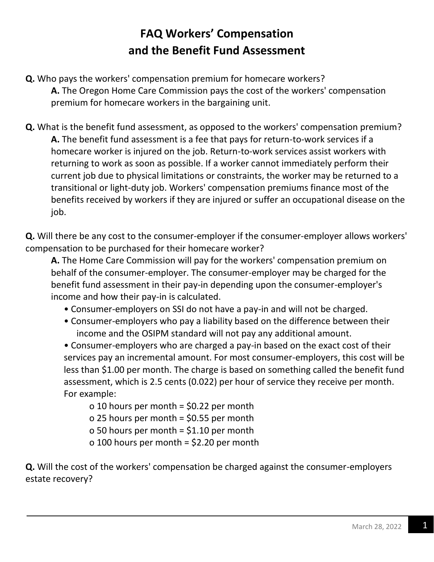## **FAQ Workers' Compensation and the Benefit Fund Assessment**

- **Q.** Who pays the workers' compensation premium for homecare workers? **A.** The Oregon Home Care Commission pays the cost of the workers' compensation premium for homecare workers in the bargaining unit.
- **Q.** What is the benefit fund assessment, as opposed to the workers' compensation premium? **A.** The benefit fund assessment is a fee that pays for return-to-work services if a homecare worker is injured on the job. Return-to-work services assist workers with returning to work as soon as possible. If a worker cannot immediately perform their current job due to physical limitations or constraints, the worker may be returned to a transitional or light-duty job. Workers' compensation premiums finance most of the benefits received by workers if they are injured or suffer an occupational disease on the job.

**Q.** Will there be any cost to the consumer-employer if the consumer-employer allows workers' compensation to be purchased for their homecare worker?

**A.** The Home Care Commission will pay for the workers' compensation premium on behalf of the consumer-employer. The consumer-employer may be charged for the benefit fund assessment in their pay-in depending upon the consumer-employer's income and how their pay-in is calculated.

- Consumer-employers on SSI do not have a pay-in and will not be charged.
- Consumer-employers who pay a liability based on the difference between their income and the OSIPM standard will not pay any additional amount.

• Consumer-employers who are charged a pay-in based on the exact cost of their services pay an incremental amount. For most consumer-employers, this cost will be less than \$1.00 per month. The charge is based on something called the benefit fund assessment, which is 2.5 cents (0.022) per hour of service they receive per month. For example:

o 10 hours per month = \$0.22 per month o 25 hours per month = \$0.55 per month o 50 hours per month = \$1.10 per month o 100 hours per month = \$2.20 per month

**Q.** Will the cost of the workers' compensation be charged against the consumer-employers estate recovery?